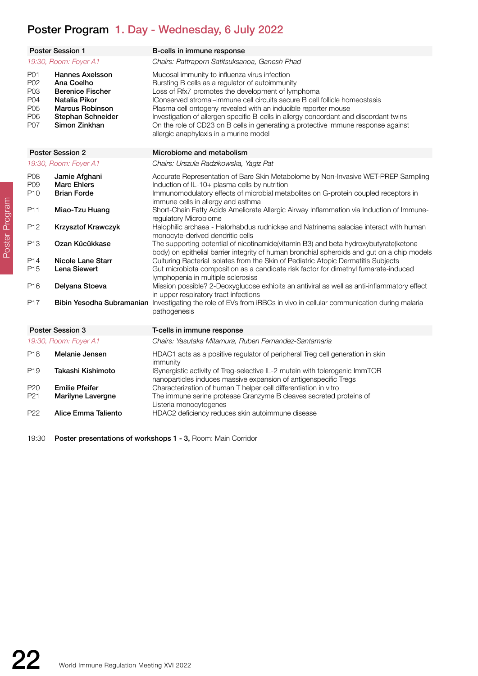## Poster Program 1. Day - Wednesday, 6 July 2022

|                                               | <b>Poster Session 1</b>                                                                                                                          | B-cells in immune response                                                                                                                                                                                                                                                                                                                                                                                                                                                                                                    |
|-----------------------------------------------|--------------------------------------------------------------------------------------------------------------------------------------------------|-------------------------------------------------------------------------------------------------------------------------------------------------------------------------------------------------------------------------------------------------------------------------------------------------------------------------------------------------------------------------------------------------------------------------------------------------------------------------------------------------------------------------------|
| 19:30, Room: Foyer A1                         |                                                                                                                                                  | Chairs: Pattraporn Satitsuksanoa, Ganesh Phad                                                                                                                                                                                                                                                                                                                                                                                                                                                                                 |
| P01<br>P02<br>P03<br>P04<br>P05<br>P06<br>P07 | <b>Hannes Axelsson</b><br>Ana Coelho<br><b>Berenice Fischer</b><br>Natalia Pikor<br><b>Marcus Robinson</b><br>Stephan Schneider<br>Simon Zinkhan | Mucosal immunity to influenza virus infection<br>Bursting B cells as a regulator of autoimmunity<br>Loss of Rfx7 promotes the development of lymphoma<br>IConserved stromal-immune cell circuits secure B cell follicle homeostasis<br>Plasma cell ontogeny revealed with an inducible reporter mouse<br>Investigation of allergen specific B-cells in allergy concordant and discordant twins<br>On the role of CD23 on B cells in generating a protective immune response against<br>allergic anaphylaxis in a murine model |
|                                               | <b>Poster Session 2</b>                                                                                                                          | Microbiome and metabolism                                                                                                                                                                                                                                                                                                                                                                                                                                                                                                     |
|                                               | 19:30, Room: Foyer A1                                                                                                                            | Chairs: Urszula Radzikowska, Yagiz Pat                                                                                                                                                                                                                                                                                                                                                                                                                                                                                        |
| P08<br>P09<br>P <sub>10</sub>                 | Jamie Afghani<br><b>Marc Ehlers</b><br><b>Brian Forde</b>                                                                                        | Accurate Representation of Bare Skin Metabolome by Non-Invasive WET-PREP Sampling<br>Induction of IL-10+ plasma cells by nutrition<br>Immunomodulatory effects of microbial metabolites on G-protein coupled receptors in<br>immune cells in allergy and asthma                                                                                                                                                                                                                                                               |
| P11                                           | Miao-Tzu Huang                                                                                                                                   | Short-Chain Fatty Acids Ameliorate Allergic Airway Inflammation via Induction of Immune-<br>regulatory Microbiome                                                                                                                                                                                                                                                                                                                                                                                                             |
| P <sub>12</sub>                               | Krzysztof Krawczyk                                                                                                                               | Halophilic archaea - Halorhabdus rudnickae and Natrinema salaciae interact with human<br>monocyte-derived dendritic cells                                                                                                                                                                                                                                                                                                                                                                                                     |
| P <sub>13</sub>                               | Ozan Kücükkase                                                                                                                                   | The supporting potential of nicotinamide(vitamin B3) and beta hydroxybutyrate(ketone<br>body) on epithelial barrier integrity of human bronchial spheroids and gut on a chip models                                                                                                                                                                                                                                                                                                                                           |
| P14<br>P <sub>15</sub>                        | Nicole Lane Starr<br><b>Lena Siewert</b>                                                                                                         | Culturing Bacterial Isolates from the Skin of Pediatric Atopic Dermatitis Subjects<br>Gut microbiota composition as a candidate risk factor for dimethyl fumarate-induced<br>lymphopenia in multiple sclerosiss                                                                                                                                                                                                                                                                                                               |
| P <sub>16</sub>                               | Delyana Stoeva                                                                                                                                   | Mission possible? 2-Deoxyglucose exhibits an antiviral as well as anti-inflammatory effect<br>in upper respiratory tract infections                                                                                                                                                                                                                                                                                                                                                                                           |
| P17                                           |                                                                                                                                                  | Bibin Yesodha Subramanian Investigating the role of EVs from iRBCs in vivo in cellular communication during malaria<br>pathogenesis                                                                                                                                                                                                                                                                                                                                                                                           |
| Poster Session 3                              |                                                                                                                                                  | T-cells in immune response                                                                                                                                                                                                                                                                                                                                                                                                                                                                                                    |
|                                               | 19:30, Room: Foyer A1                                                                                                                            | Chairs: Yasutaka Mitamura, Ruben Fernandez-Santamaria                                                                                                                                                                                                                                                                                                                                                                                                                                                                         |
| P <sub>18</sub>                               | Melanie Jensen                                                                                                                                   | HDAC1 acts as a positive regulator of peripheral Treg cell generation in skin<br>immunity                                                                                                                                                                                                                                                                                                                                                                                                                                     |
| P <sub>19</sub>                               | Takashi Kishimoto                                                                                                                                | ISynergistic activity of Treg-selective IL-2 mutein with tolerogenic ImmTOR<br>nanoparticles induces massive expansion of antigenspecific Tregs                                                                                                                                                                                                                                                                                                                                                                               |
| P <sub>20</sub>                               | <b>Emilie Pfeifer</b>                                                                                                                            | Characterization of human T helper cell differentiation in vitro                                                                                                                                                                                                                                                                                                                                                                                                                                                              |
| P <sub>21</sub>                               | <b>Marilyne Lavergne</b>                                                                                                                         | The immune serine protease Granzyme B cleaves secreted proteins of<br>Listeria monocytogenes                                                                                                                                                                                                                                                                                                                                                                                                                                  |
| P <sub>22</sub>                               | Alice Emma Taliento                                                                                                                              | HDAC2 deficiency reduces skin autoimmune disease                                                                                                                                                                                                                                                                                                                                                                                                                                                                              |

HDAC2 deficiency reduces skin autoimmune disease

19:30 Poster presentations of workshops 1 - 3, Room: Main Corridor

Poster Program Poster Program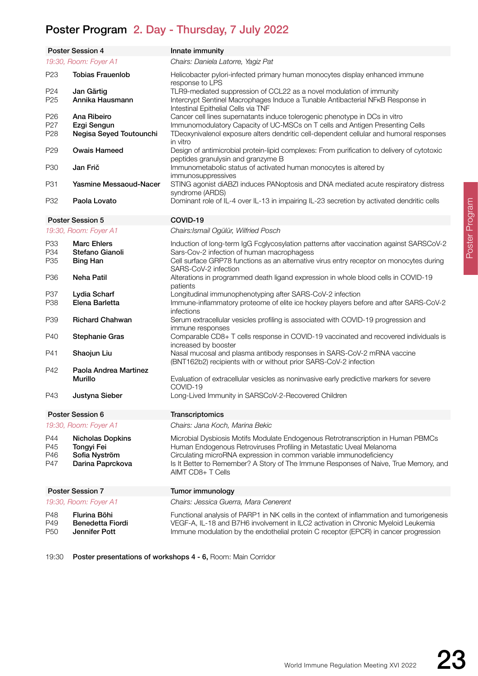## Poster Program 2. Day - Thursday, 7 July 2022

19:30 Poster presentations of workshops 4 - 6, Room: Main Corridor

|                                    | <b>Poster Session 4</b>                                                    | Innate immunity                                                                                                                                                                                                                                                                                                                              |
|------------------------------------|----------------------------------------------------------------------------|----------------------------------------------------------------------------------------------------------------------------------------------------------------------------------------------------------------------------------------------------------------------------------------------------------------------------------------------|
| 19:30, Room: Foyer A1              |                                                                            | Chairs: Daniela Latorre, Yagiz Pat                                                                                                                                                                                                                                                                                                           |
| P <sub>23</sub>                    | <b>Tobias Frauenlob</b>                                                    | Helicobacter pylori-infected primary human monocytes display enhanced immune<br>response to LPS                                                                                                                                                                                                                                              |
| P <sub>24</sub>                    | Jan Gärtig                                                                 | TLR9-mediated suppression of CCL22 as a novel modulation of immunity                                                                                                                                                                                                                                                                         |
| P <sub>25</sub>                    | Annika Hausmann                                                            | Intercrypt Sentinel Macrophages Induce a Tunable Antibacterial NFKB Response in<br>Intestinal Epithelial Cells via TNF                                                                                                                                                                                                                       |
| P <sub>26</sub>                    | Ana Ribeiro                                                                | Cancer cell lines supernatants induce tolerogenic phenotype in DCs in vitro                                                                                                                                                                                                                                                                  |
| P <sub>27</sub><br>P <sub>28</sub> | Ezgi Sengun<br>Negisa Seyed Toutounchi                                     | Immunomodulatory Capacity of UC-MSCs on T cells and Antigen Presenting Cells<br>TDeoxynivalenol exposure alters dendritic cell-dependent cellular and humoral responses<br>in vitro                                                                                                                                                          |
| P <sub>29</sub>                    | <b>Owais Hameed</b>                                                        | Design of antimicrobial protein-lipid complexes: From purification to delivery of cytotoxic<br>peptides granulysin and granzyme B                                                                                                                                                                                                            |
| P30                                | Jan Frič                                                                   | Immunometabolic status of activated human monocytes is altered by<br>immunosuppressives                                                                                                                                                                                                                                                      |
| P31                                | <b>Yasmine Messaoud-Nacer</b>                                              | STING agonist diABZI induces PANoptosis and DNA mediated acute respiratory distress<br>syndrome (ARDS)                                                                                                                                                                                                                                       |
| P32                                | Paola Lovato                                                               | Dominant role of IL-4 over IL-13 in impairing IL-23 secretion by activated dendritic cells                                                                                                                                                                                                                                                   |
|                                    | Poster Session 5                                                           | COVID-19                                                                                                                                                                                                                                                                                                                                     |
|                                    | 19:30, Room: Foyer A1                                                      | Chairs: Ismail Ogülür, Wilfried Posch                                                                                                                                                                                                                                                                                                        |
| P33<br>P34                         | <b>Marc Ehlers</b><br>Stefano Gianoli                                      | Induction of long-term IgG Fcglycosylation patterns after vaccination against SARSCoV-2<br>Sars-Cov-2 infection of human macrophagess                                                                                                                                                                                                        |
| P <sub>35</sub>                    | <b>Bing Han</b>                                                            | Cell surface GRP78 functions as an alternative virus entry receptor on monocytes during<br>SARS-CoV-2 infection                                                                                                                                                                                                                              |
| P <sub>36</sub>                    | <b>Neha Patil</b>                                                          | Alterations in programmed death ligand expression in whole blood cells in COVID-19<br>patients                                                                                                                                                                                                                                               |
| P37<br>P <sub>38</sub>             | Lydia Scharf<br>Elena Barletta                                             | Longitudinal immunophenotyping after SARS-CoV-2 infection<br>Immune-inflammatory proteome of elite ice hockey players before and after SARS-CoV-2<br>infections                                                                                                                                                                              |
| P39                                | <b>Richard Chahwan</b>                                                     | Serum extracellular vesicles profiling is associated with COVID-19 progression and<br>immune responses                                                                                                                                                                                                                                       |
| P40                                | <b>Stephanie Gras</b>                                                      | Comparable CD8+ T cells response in COVID-19 vaccinated and recovered individuals is<br>increased by booster                                                                                                                                                                                                                                 |
| P41                                | Shaojun Liu                                                                | Nasal mucosal and plasma antibody responses in SARS-CoV-2 mRNA vaccine<br>(BNT162b2) recipients with or without prior SARS-CoV-2 infection                                                                                                                                                                                                   |
| P42                                | Paola Andrea Martinez<br><b>Murillo</b>                                    | Evaluation of extracellular vesicles as noninvasive early predictive markers for severe<br>COVID-19                                                                                                                                                                                                                                          |
| P43                                | Justyna Sieber                                                             | Long-Lived Immunity in SARSCoV-2-Recovered Children                                                                                                                                                                                                                                                                                          |
| Poster Session 6                   |                                                                            | Transcriptomics                                                                                                                                                                                                                                                                                                                              |
|                                    | 19:30, Room: Foyer A1                                                      | Chairs: Jana Koch, Marina Bekic                                                                                                                                                                                                                                                                                                              |
| P44<br>P45<br>P46<br>P47           | <b>Nicholas Dopkins</b><br>Tongyi Fei<br>Sofia Nyström<br>Darina Paprckova | Microbial Dysbiosis Motifs Modulate Endogenous Retrotranscription in Human PBMCs<br>Human Endogenous Retroviruses Profiling in Metastatic Uveal Melanoma<br>Circulating microRNA expression in common variable immunodeficiency<br>Is It Better to Remember? A Story of The Immune Responses of Naive, True Memory, and<br>AIMT CD8+ T Cells |
| <b>Poster Session 7</b>            |                                                                            | Tumor immunology                                                                                                                                                                                                                                                                                                                             |
| 19:30, Room: Foyer A1              |                                                                            | Chairs: Jessica Guerra, Mara Cenerent                                                                                                                                                                                                                                                                                                        |
| P48<br>P49<br>P <sub>50</sub>      | Flurina Böhi<br><b>Benedetta Fiordi</b><br>Jennifer Pott                   | Functional analysis of PARP1 in NK cells in the context of inflammation and tumorigenesis<br>VEGF-A, IL-18 and B7H6 involvement in ILC2 activation in Chronic Myeloid Leukemia<br>Immune modulation by the endothelial protein C receptor (EPCR) in cancer progression                                                                       |
|                                    |                                                                            |                                                                                                                                                                                                                                                                                                                                              |

Poster Program Poster Program